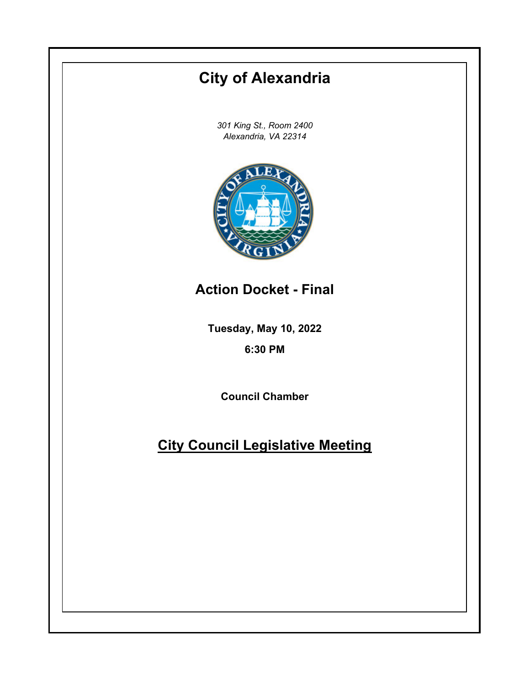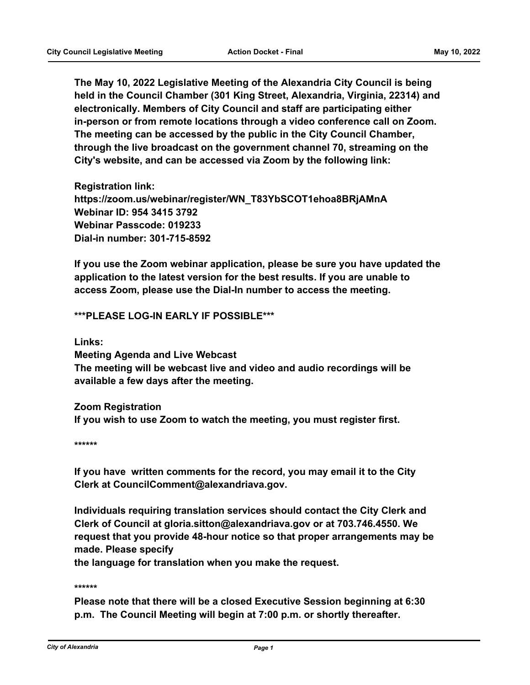**The May 10, 2022 Legislative Meeting of the Alexandria City Council is being held in the Council Chamber (301 King Street, Alexandria, Virginia, 22314) and electronically. Members of City Council and staff are participating either in-person or from remote locations through a video conference call on Zoom. The meeting can be accessed by the public in the City Council Chamber, through the live broadcast on the government channel 70, streaming on the City's website, and can be accessed via Zoom by the following link:**

**Registration link: https://zoom.us/webinar/register/WN\_T83YbSCOT1ehoa8BRjAMnA Webinar ID: 954 3415 3792 Webinar Passcode: 019233 Dial-in number: 301-715-8592**

**If you use the Zoom webinar application, please be sure you have updated the application to the latest version for the best results. If you are unable to access Zoom, please use the Dial-In number to access the meeting.**

## **\*\*\*PLEASE LOG-IN EARLY IF POSSIBLE\*\*\***

**Links:**

**Meeting Agenda and Live Webcast The meeting will be webcast live and video and audio recordings will be available a few days after the meeting.**

**Zoom Registration If you wish to use Zoom to watch the meeting, you must register first.**

**\*\*\*\*\*\***

**If you have written comments for the record, you may email it to the City Clerk at CouncilComment@alexandriava.gov.**

**Individuals requiring translation services should contact the City Clerk and Clerk of Council at gloria.sitton@alexandriava.gov or at 703.746.4550. We request that you provide 48-hour notice so that proper arrangements may be made. Please specify**

**the language for translation when you make the request.**

**\*\*\*\*\*\***

**Please note that there will be a closed Executive Session beginning at 6:30 p.m. The Council Meeting will begin at 7:00 p.m. or shortly thereafter.**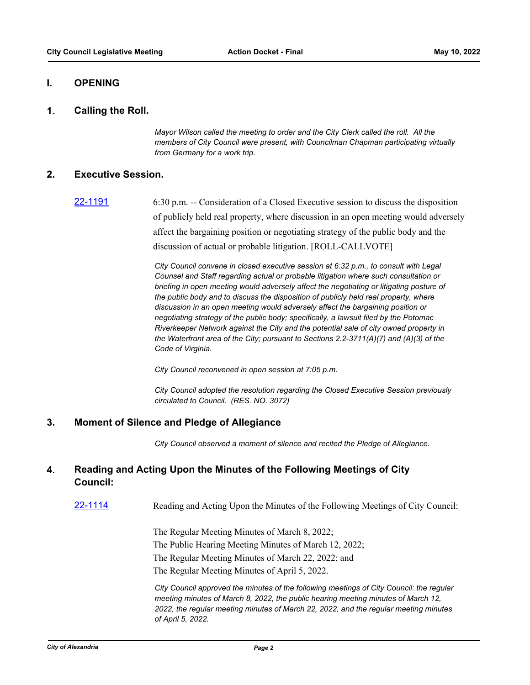## **I. OPENING**

#### **1. Calling the Roll.**

*Mayor Wilson called the meeting to order and the City Clerk called the roll. All the members of City Council were present, with Councilman Chapman participating virtually from Germany for a work trip.*

### **2. Executive Session.**

[22-1191](http://alexandria.legistar.com/gateway.aspx?m=l&id=/matter.aspx?key=14789) 6:30 p.m. -- Consideration of a Closed Executive session to discuss the disposition of publicly held real property, where discussion in an open meeting would adversely affect the bargaining position or negotiating strategy of the public body and the discussion of actual or probable litigation. [ROLL-CALLVOTE]

> *City Council convene in closed executive session at 6:32 p.m., to consult with Legal Counsel and Staff regarding actual or probable litigation where such consultation or briefing in open meeting would adversely affect the negotiating or litigating posture of the public body and to discuss the disposition of publicly held real property, where discussion in an open meeting would adversely affect the bargaining position or negotiating strategy of the public body; specifically, a lawsuit filed by the Potomac Riverkeeper Network against the City and the potential sale of city owned property in the Waterfront area of the City; pursuant to Sections 2.2-3711(A)(7) and (A)(3) of the Code of Virginia.*

*City Council reconvened in open session at 7:05 p.m.*

*City Council adopted the resolution regarding the Closed Executive Session previously circulated to Council. (RES. NO. 3072)*

### **3. Moment of Silence and Pledge of Allegiance**

*City Council observed a moment of silence and recited the Pledge of Allegiance.*

#### **Reading and Acting Upon the Minutes of the Following Meetings of City Council: 4.**

[22-1114](http://alexandria.legistar.com/gateway.aspx?m=l&id=/matter.aspx?key=14712) Reading and Acting Upon the Minutes of the Following Meetings of City Council:

The Regular Meeting Minutes of March 8, 2022; The Public Hearing Meeting Minutes of March 12, 2022; The Regular Meeting Minutes of March 22, 2022; and

The Regular Meeting Minutes of April 5, 2022.

*City Council approved the minutes of the following meetings of City Council: the regular meeting minutes of March 8, 2022, the public hearing meeting minutes of March 12, 2022, the regular meeting minutes of March 22, 2022, and the regular meeting minutes of April 5, 2022.*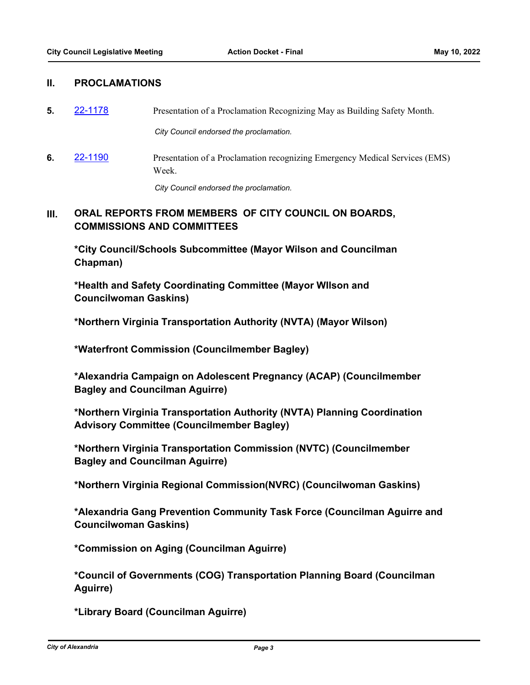## **II. PROCLAMATIONS**

**5.** [22-1178](http://alexandria.legistar.com/gateway.aspx?m=l&id=/matter.aspx?key=14776) Presentation of a Proclamation Recognizing May as Building Safety Month.

*City Council endorsed the proclamation.*

**6.** [22-1190](http://alexandria.legistar.com/gateway.aspx?m=l&id=/matter.aspx?key=14788) Presentation of a Proclamation recognizing Emergency Medical Services (EMS) Week.

*City Council endorsed the proclamation.*

#### **ORAL REPORTS FROM MEMBERS OF CITY COUNCIL ON BOARDS, COMMISSIONS AND COMMITTEES III.**

**\*City Council/Schools Subcommittee (Mayor Wilson and Councilman Chapman)**

**\*Health and Safety Coordinating Committee (Mayor WIlson and Councilwoman Gaskins)**

**\*Northern Virginia Transportation Authority (NVTA) (Mayor Wilson)**

**\*Waterfront Commission (Councilmember Bagley)**

**\*Alexandria Campaign on Adolescent Pregnancy (ACAP) (Councilmember Bagley and Councilman Aguirre)**

**\*Northern Virginia Transportation Authority (NVTA) Planning Coordination Advisory Committee (Councilmember Bagley)**

**\*Northern Virginia Transportation Commission (NVTC) (Councilmember Bagley and Councilman Aguirre)**

**\*Northern Virginia Regional Commission(NVRC) (Councilwoman Gaskins)**

**\*Alexandria Gang Prevention Community Task Force (Councilman Aguirre and Councilwoman Gaskins)**

**\*Commission on Aging (Councilman Aguirre)**

**\*Council of Governments (COG) Transportation Planning Board (Councilman Aguirre)**

**\*Library Board (Councilman Aguirre)**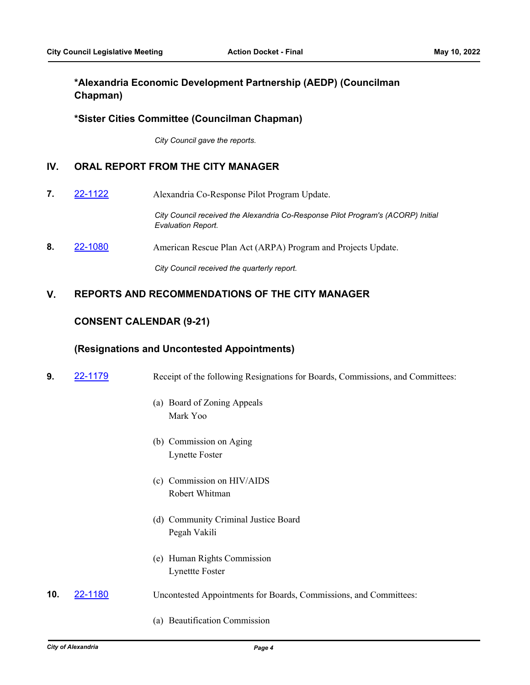# **\*Alexandria Economic Development Partnership (AEDP) (Councilman Chapman)**

## **\*Sister Cities Committee (Councilman Chapman)**

*City Council gave the reports.*

## **IV. ORAL REPORT FROM THE CITY MANAGER**

**7. [22-1122](http://alexandria.legistar.com/gateway.aspx?m=l&id=/matter.aspx?key=14720)** Alexandria Co-Response Pilot Program Update.

*City Council received the Alexandria Co-Response Pilot Program's (ACORP) Initial Evaluation Report.*

**8. [22-1080](http://alexandria.legistar.com/gateway.aspx?m=l&id=/matter.aspx?key=14679) American Rescue Plan Act (ARPA) Program and Projects Update.** 

*City Council received the quarterly report.*

## **V. REPORTS AND RECOMMENDATIONS OF THE CITY MANAGER**

### **CONSENT CALENDAR (9-21)**

#### **(Resignations and Uncontested Appointments)**

- **9.** [22-1179](http://alexandria.legistar.com/gateway.aspx?m=l&id=/matter.aspx?key=14777) Receipt of the following Resignations for Boards, Commissions, and Committees:
	- (a) Board of Zoning Appeals Mark Yoo
	- (b) Commission on Aging Lynette Foster
	- (c) Commission on HIV/AIDS Robert Whitman
	- (d) Community Criminal Justice Board Pegah Vakili
	- (e) Human Rights Commission Lynettte Foster
- **10. [22-1180](http://alexandria.legistar.com/gateway.aspx?m=l&id=/matter.aspx?key=14778)** Uncontested Appointments for Boards, Commissions, and Committees:
	- (a) Beautification Commission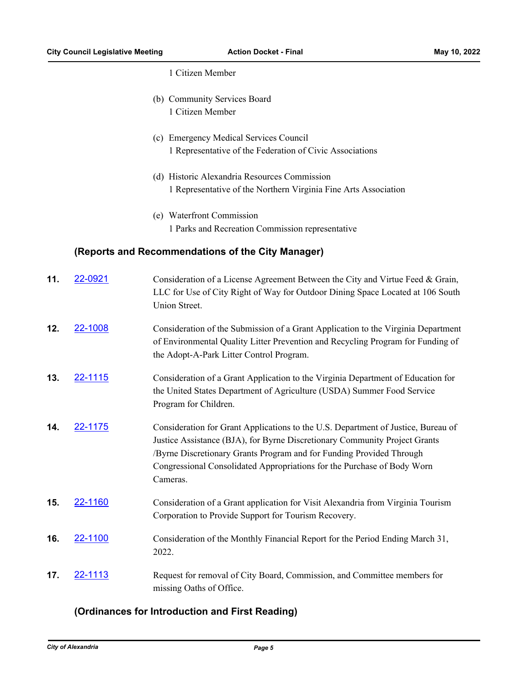1 Citizen Member

- (b) Community Services Board 1 Citizen Member
- (c) Emergency Medical Services Council 1 Representative of the Federation of Civic Associations
- (d) Historic Alexandria Resources Commission 1 Representative of the Northern Virginia Fine Arts Association
- (e) Waterfront Commission 1 Parks and Recreation Commission representative

## **(Reports and Recommendations of the City Manager)**

| 11. | 22-0921 | Consideration of a License Agreement Between the City and Virtue Feed & Grain,<br>LLC for Use of City Right of Way for Outdoor Dining Space Located at 106 South<br>Union Street.                                                                                                                                              |
|-----|---------|--------------------------------------------------------------------------------------------------------------------------------------------------------------------------------------------------------------------------------------------------------------------------------------------------------------------------------|
| 12. | 22-1008 | Consideration of the Submission of a Grant Application to the Virginia Department<br>of Environmental Quality Litter Prevention and Recycling Program for Funding of<br>the Adopt-A-Park Litter Control Program.                                                                                                               |
| 13. | 22-1115 | Consideration of a Grant Application to the Virginia Department of Education for<br>the United States Department of Agriculture (USDA) Summer Food Service<br>Program for Children.                                                                                                                                            |
| 14. | 22-1175 | Consideration for Grant Applications to the U.S. Department of Justice, Bureau of<br>Justice Assistance (BJA), for Byrne Discretionary Community Project Grants<br>/Byrne Discretionary Grants Program and for Funding Provided Through<br>Congressional Consolidated Appropriations for the Purchase of Body Worn<br>Cameras. |
| 15. | 22-1160 | Consideration of a Grant application for Visit Alexandria from Virginia Tourism<br>Corporation to Provide Support for Tourism Recovery.                                                                                                                                                                                        |
| 16. | 22-1100 | Consideration of the Monthly Financial Report for the Period Ending March 31,<br>2022.                                                                                                                                                                                                                                         |
| 17. | 22-1113 | Request for removal of City Board, Commission, and Committee members for<br>missing Oaths of Office.                                                                                                                                                                                                                           |

## **(Ordinances for Introduction and First Reading)**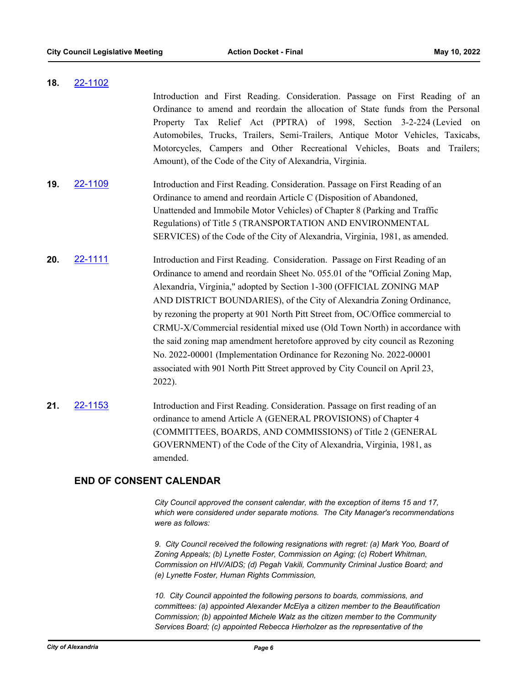**18.** [22-1102](http://alexandria.legistar.com/gateway.aspx?m=l&id=/matter.aspx?key=14700) Introduction and First Reading. Consideration. Passage on First Reading of an Ordinance to amend and reordain the allocation of State funds from the Personal Property Tax Relief Act (PPTRA) of 1998, Section 3-2-224 (Levied on Automobiles, Trucks, Trailers, Semi-Trailers, Antique Motor Vehicles, Taxicabs, Motorcycles, Campers and Other Recreational Vehicles, Boats and Trailers; Amount), of the Code of the City of Alexandria, Virginia.

- **19.** [22-1109](http://alexandria.legistar.com/gateway.aspx?m=l&id=/matter.aspx?key=14707) Introduction and First Reading. Consideration. Passage on First Reading of an Ordinance to amend and reordain Article C (Disposition of Abandoned, Unattended and Immobile Motor Vehicles) of Chapter 8 (Parking and Traffic Regulations) of Title 5 (TRANSPORTATION AND ENVIRONMENTAL SERVICES) of the Code of the City of Alexandria, Virginia, 1981, as amended.
- **20.** [22-1111](http://alexandria.legistar.com/gateway.aspx?m=l&id=/matter.aspx?key=14709) Introduction and First Reading. Consideration. Passage on First Reading of an Ordinance to amend and reordain Sheet No. 055.01 of the "Official Zoning Map, Alexandria, Virginia," adopted by Section 1-300 (OFFICIAL ZONING MAP AND DISTRICT BOUNDARIES), of the City of Alexandria Zoning Ordinance, by rezoning the property at 901 North Pitt Street from, OC/Office commercial to CRMU-X/Commercial residential mixed use (Old Town North) in accordance with the said zoning map amendment heretofore approved by city council as Rezoning No. 2022-00001 (Implementation Ordinance for Rezoning No. 2022-00001 associated with 901 North Pitt Street approved by City Council on April 23, 2022).
- **21.** [22-1153](http://alexandria.legistar.com/gateway.aspx?m=l&id=/matter.aspx?key=14751) Introduction and First Reading. Consideration. Passage on first reading of an ordinance to amend Article A (GENERAL PROVISIONS) of Chapter 4 (COMMITTEES, BOARDS, AND COMMISSIONS) of Title 2 (GENERAL GOVERNMENT) of the Code of the City of Alexandria, Virginia, 1981, as amended.

# **END OF CONSENT CALENDAR**

*City Council approved the consent calendar, with the exception of items 15 and 17, which were considered under separate motions. The City Manager's recommendations were as follows:* 

*9. City Council received the following resignations with regret: (a) Mark Yoo, Board of Zoning Appeals; (b) Lynette Foster, Commission on Aging; (c) Robert Whitman, Commission on HIV/AIDS; (d) Pegah Vakili, Community Criminal Justice Board; and (e) Lynette Foster, Human Rights Commission,*

*10. City Council appointed the following persons to boards, commissions, and committees: (a) appointed Alexander McElya a citizen member to the Beautification Commission; (b) appointed Michele Walz as the citizen member to the Community Services Board; (c) appointed Rebecca Hierholzer as the representative of the*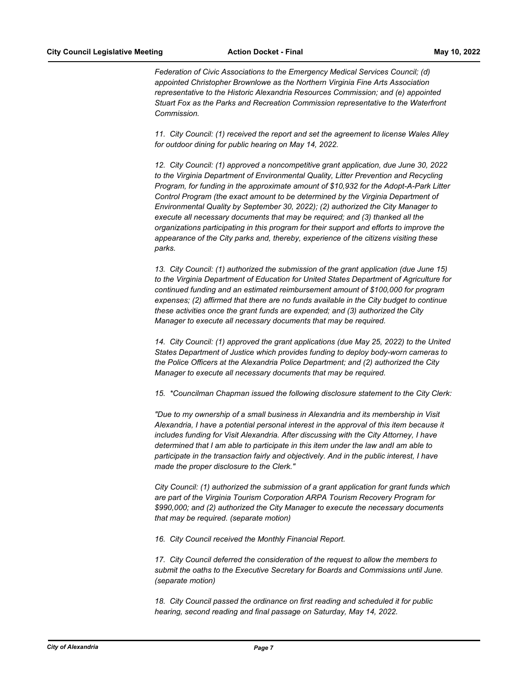*Federation of Civic Associations to the Emergency Medical Services Council; (d) appointed Christopher Brownlowe as the Northern Virginia Fine Arts Association representative to the Historic Alexandria Resources Commission; and (e) appointed Stuart Fox as the Parks and Recreation Commission representative to the Waterfront Commission.*

*11. City Council: (1) received the report and set the agreement to license Wales Alley for outdoor dining for public hearing on May 14, 2022.*

*12. City Council: (1) approved a noncompetitive grant application, due June 30, 2022 to the Virginia Department of Environmental Quality, Litter Prevention and Recycling Program, for funding in the approximate amount of \$10,932 for the Adopt-A-Park Litter Control Program (the exact amount to be determined by the Virginia Department of Environmental Quality by September 30, 2022); (2) authorized the City Manager to execute all necessary documents that may be required; and (3) thanked all the organizations participating in this program for their support and efforts to improve the appearance of the City parks and, thereby, experience of the citizens visiting these parks.*

*13. City Council: (1) authorized the submission of the grant application (due June 15) to the Virginia Department of Education for United States Department of Agriculture for continued funding and an estimated reimbursement amount of \$100,000 for program expenses; (2) affirmed that there are no funds available in the City budget to continue these activities once the grant funds are expended; and (3) authorized the City Manager to execute all necessary documents that may be required.*

*14. City Council: (1) approved the grant applications (due May 25, 2022) to the United States Department of Justice which provides funding to deploy body-worn cameras to the Police Officers at the Alexandria Police Department; and (2) authorized the City Manager to execute all necessary documents that may be required.*

*15. \*Councilman Chapman issued the following disclosure statement to the City Clerk:*

*"Due to my ownership of a small business in Alexandria and its membership in Visit Alexandria, I have a potential personal interest in the approval of this item because it includes funding for Visit Alexandria. After discussing with the City Attorney, I have determined that I am able to participate in this item under the law andI am able to participate in the transaction fairly and objectively. And in the public interest, I have made the proper disclosure to the Clerk."*

*City Council: (1) authorized the submission of a grant application for grant funds which are part of the Virginia Tourism Corporation ARPA Tourism Recovery Program for \$990,000; and (2) authorized the City Manager to execute the necessary documents that may be required. (separate motion)*

*16. City Council received the Monthly Financial Report.*

*17. City Council deferred the consideration of the request to allow the members to submit the oaths to the Executive Secretary for Boards and Commissions until June. (separate motion)*

*18. City Council passed the ordinance on first reading and scheduled it for public hearing, second reading and final passage on Saturday, May 14, 2022.*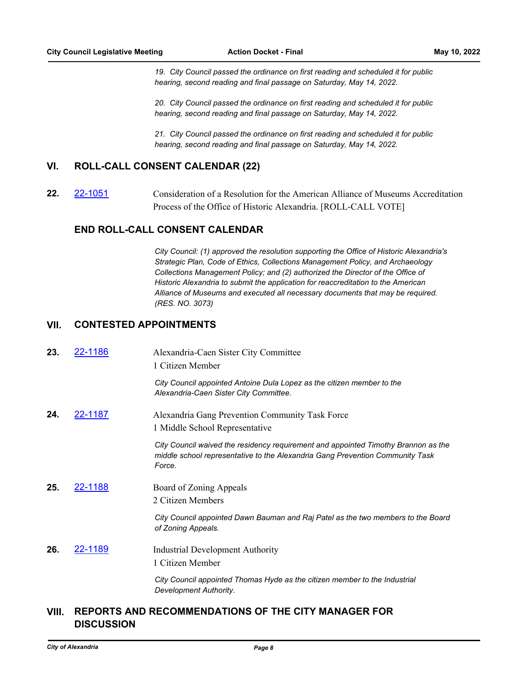*19. City Council passed the ordinance on first reading and scheduled it for public hearing, second reading and final passage on Saturday, May 14, 2022.*

*20. City Council passed the ordinance on first reading and scheduled it for public hearing, second reading and final passage on Saturday, May 14, 2022.*

*21. City Council passed the ordinance on first reading and scheduled it for public hearing, second reading and final passage on Saturday, May 14, 2022.*

## **VI. ROLL-CALL CONSENT CALENDAR (22)**

**22.** [22-1051](http://alexandria.legistar.com/gateway.aspx?m=l&id=/matter.aspx?key=14650) Consideration of a Resolution for the American Alliance of Museums Accreditation Process of the Office of Historic Alexandria. [ROLL-CALL VOTE]

## **END ROLL-CALL CONSENT CALENDAR**

*City Council: (1) approved the resolution supporting the Office of Historic Alexandria's Strategic Plan, Code of Ethics, Collections Management Policy, and Archaeology Collections Management Policy; and (2) authorized the Director of the Office of Historic Alexandria to submit the application for reaccreditation to the American Alliance of Museums and executed all necessary documents that may be required. (RES. NO. 3073)*

### **VII. CONTESTED APPOINTMENTS**

| 23. | 22-1186        | Alexandria-Caen Sister City Committee<br>1 Citizen Member                                                                                                                     |
|-----|----------------|-------------------------------------------------------------------------------------------------------------------------------------------------------------------------------|
|     |                | City Council appointed Antoine Dula Lopez as the citizen member to the<br>Alexandria-Caen Sister City Committee.                                                              |
| 24. | 22-1187        | Alexandria Gang Prevention Community Task Force<br>1 Middle School Representative                                                                                             |
|     |                | City Council waived the residency requirement and appointed Timothy Brannon as the<br>middle school representative to the Alexandria Gang Prevention Community Task<br>Force. |
| 25. | <u>22-1188</u> | Board of Zoning Appeals                                                                                                                                                       |
|     |                | 2 Citizen Members                                                                                                                                                             |
|     |                | City Council appointed Dawn Bauman and Raj Patel as the two members to the Board<br>of Zoning Appeals.                                                                        |
| 26. | <u>22-1189</u> | <b>Industrial Development Authority</b>                                                                                                                                       |
|     |                | 1 Citizen Member                                                                                                                                                              |
|     |                | City Council appointed Thomas Hyde as the citizen member to the Industrial<br>Development Authority.                                                                          |

# **REPORTS AND RECOMMENDATIONS OF THE CITY MANAGER FOR VIII. DISCUSSION**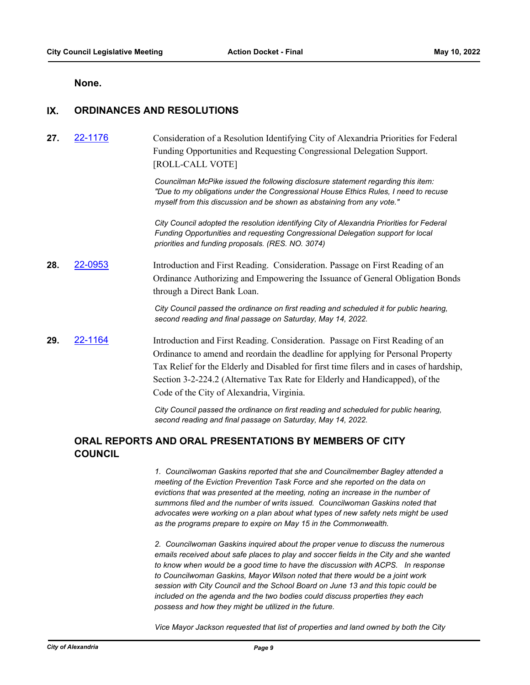#### **None.**

## **IX. ORDINANCES AND RESOLUTIONS**

# 27. [22-1176](http://alexandria.legistar.com/gateway.aspx?m=l&id=/matter.aspx?key=14774) Consideration of a Resolution Identifying City of Alexandria Priorities for Federal Funding Opportunities and Requesting Congressional Delegation Support. [ROLL-CALL VOTE]

*Councilman McPike issued the following disclosure statement regarding this item: "Due to my obligations under the Congressional House Ethics Rules, I need to recuse myself from this discussion and be shown as abstaining from any vote."*

*City Council adopted the resolution identifying City of Alexandria Priorities for Federal Funding Opportunities and requesting Congressional Delegation support for local priorities and funding proposals. (RES. NO. 3074)*

**28.** [22-0953](http://alexandria.legistar.com/gateway.aspx?m=l&id=/matter.aspx?key=14552) Introduction and First Reading. Consideration. Passage on First Reading of an Ordinance Authorizing and Empowering the Issuance of General Obligation Bonds through a Direct Bank Loan.

> *City Council passed the ordinance on first reading and scheduled it for public hearing, second reading and final passage on Saturday, May 14, 2022.*

**29.** [22-1164](http://alexandria.legistar.com/gateway.aspx?m=l&id=/matter.aspx?key=14762) Introduction and First Reading. Consideration. Passage on First Reading of an Ordinance to amend and reordain the deadline for applying for Personal Property Tax Relief for the Elderly and Disabled for first time filers and in cases of hardship, Section 3-2-224.2 (Alternative Tax Rate for Elderly and Handicapped), of the Code of the City of Alexandria, Virginia.

> *City Council passed the ordinance on first reading and scheduled for public hearing, second reading and final passage on Saturday, May 14, 2022.*

# **ORAL REPORTS AND ORAL PRESENTATIONS BY MEMBERS OF CITY COUNCIL**

*1. Councilwoman Gaskins reported that she and Councilmember Bagley attended a meeting of the Eviction Prevention Task Force and she reported on the data on evictions that was presented at the meeting, noting an increase in the number of summons filed and the number of writs issued. Councilwoman Gaskins noted that advocates were working on a plan about what types of new safety nets might be used as the programs prepare to expire on May 15 in the Commonwealth.*

*2. Councilwoman Gaskins inquired about the proper venue to discuss the numerous emails received about safe places to play and soccer fields in the City and she wanted to know when would be a good time to have the discussion with ACPS. In response to Councilwoman Gaskins, Mayor Wilson noted that there would be a joint work session with City Council and the School Board on June 13 and this topic could be included on the agenda and the two bodies could discuss properties they each possess and how they might be utilized in the future.*

*Vice Mayor Jackson requested that list of properties and land owned by both the City*